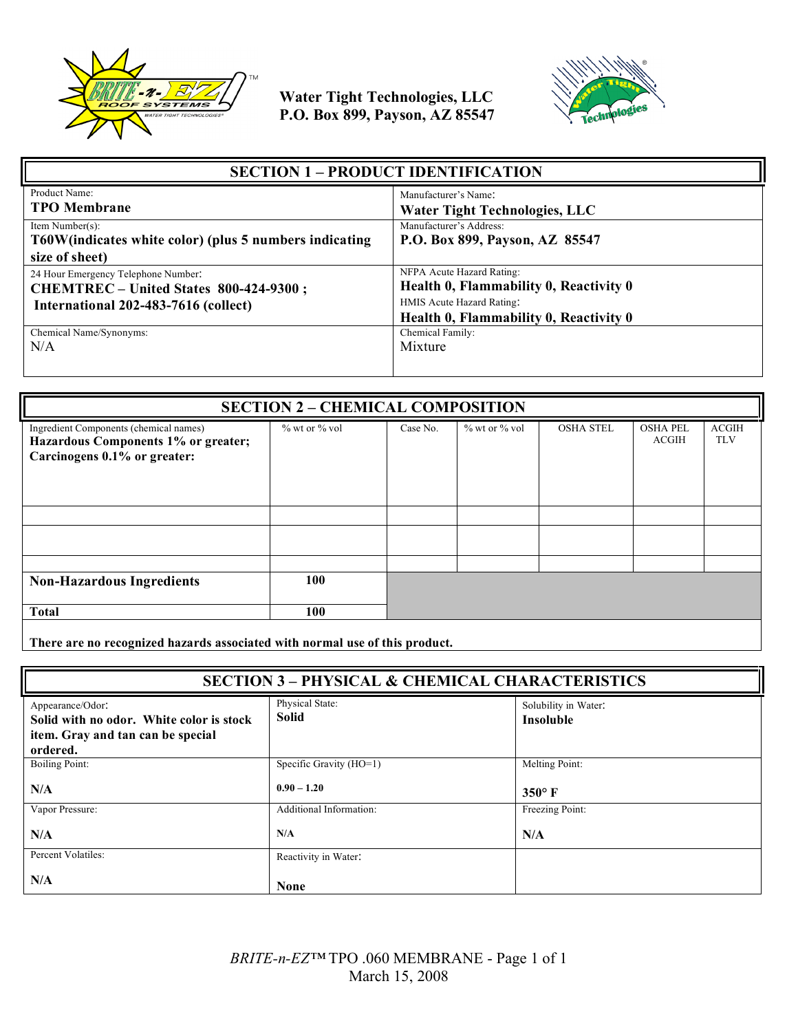



| <b>SECTION 1 - PRODUCT IDENTIFICATION</b>                                     |                                                                     |  |
|-------------------------------------------------------------------------------|---------------------------------------------------------------------|--|
| Product Name:<br><b>TPO</b> Membrane                                          | Manufacturer's Name:<br><b>Water Tight Technologies, LLC</b>        |  |
| Item Number(s):<br>T60W (indicates white color) (plus 5 numbers indicating    | Manufacturer's Address:<br>P.O. Box 899, Payson, AZ 85547           |  |
| size of sheet)                                                                |                                                                     |  |
| 24 Hour Emergency Telephone Number:<br>CHEMTREC - United States 800-424-9300; | NFPA Acute Hazard Rating:<br>Health 0, Flammability 0, Reactivity 0 |  |
| International 202-483-7616 (collect)                                          | HMIS Acute Hazard Rating:<br>Health 0, Flammability 0, Reactivity 0 |  |
| Chemical Name/Synonyms:                                                       | Chemical Family:                                                    |  |
| N/A                                                                           | Mixture                                                             |  |

| <b>SECTION 2 - CHEMICAL COMPOSITION</b>                                                                                               |               |          |                     |                  |                          |                            |
|---------------------------------------------------------------------------------------------------------------------------------------|---------------|----------|---------------------|------------------|--------------------------|----------------------------|
| Ingredient Components (chemical names)<br>Hazardous Components 1% or greater;<br>Carcinogens 0.1% or greater:                         | % wt or % vol | Case No. | $\%$ wt or $\%$ vol | <b>OSHA STEL</b> | <b>OSHA PEL</b><br>ACGIH | <b>ACGIH</b><br><b>TLV</b> |
|                                                                                                                                       |               |          |                     |                  |                          |                            |
|                                                                                                                                       |               |          |                     |                  |                          |                            |
|                                                                                                                                       |               |          |                     |                  |                          |                            |
| <b>Non-Hazardous Ingredients</b>                                                                                                      | 100           |          |                     |                  |                          |                            |
| <b>Total</b>                                                                                                                          | 100           |          |                     |                  |                          |                            |
| $\mathbf{r}$ , and $\mathbf{r}$ , and $\mathbf{r}$ , and $\mathbf{r}$ , and $\mathbf{r}$ , and $\mathbf{r}$ , and $\mathbf{r}$<br>--- |               |          |                     |                  |                          |                            |

**There are no recognized hazards associated with normal use of this product.**

| <b>SECTION 3 - PHYSICAL &amp; CHEMICAL CHARACTERISTICS</b>                                                    |                                 |                                          |  |
|---------------------------------------------------------------------------------------------------------------|---------------------------------|------------------------------------------|--|
| Appearance/Odor:<br>Solid with no odor. White color is stock<br>item. Gray and tan can be special<br>ordered. | Physical State:<br><b>Solid</b> | Solubility in Water:<br><b>Insoluble</b> |  |
| <b>Boiling Point:</b>                                                                                         | Specific Gravity (HO=1)         | Melting Point:                           |  |
| N/A                                                                                                           | $0.90 - 1.20$                   | $350^{\circ}$ F                          |  |
| Vapor Pressure:                                                                                               | Additional Information:         | Freezing Point:                          |  |
| N/A                                                                                                           | N/A                             | N/A                                      |  |
| Percent Volatiles:                                                                                            | Reactivity in Water:            |                                          |  |
| N/A                                                                                                           | <b>None</b>                     |                                          |  |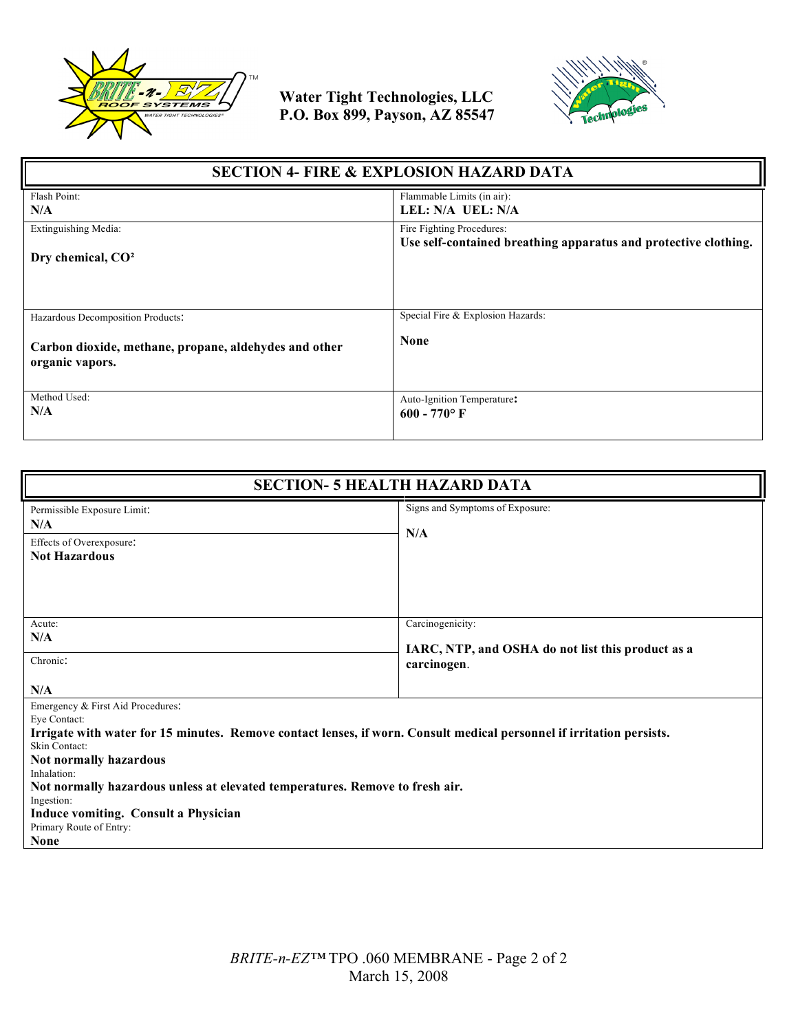



| <b>SECTION 4- FIRE &amp; EXPLOSION HAZARD DATA</b>                                                            |                                                                 |  |
|---------------------------------------------------------------------------------------------------------------|-----------------------------------------------------------------|--|
| Flash Point:                                                                                                  | Flammable Limits (in air):                                      |  |
| N/A                                                                                                           | LEL: N/A UEL: N/A                                               |  |
| Extinguishing Media:                                                                                          | Fire Fighting Procedures:                                       |  |
| Dry chemical, CO <sup>2</sup>                                                                                 | Use self-contained breathing apparatus and protective clothing. |  |
| Hazardous Decomposition Products:<br>Carbon dioxide, methane, propane, aldehydes and other<br>organic vapors. | Special Fire & Explosion Hazards:<br><b>None</b>                |  |
| Method Used:                                                                                                  | Auto-Ignition Temperature:                                      |  |
| N/A                                                                                                           | $600 - 770$ °F                                                  |  |

| <b>SECTION- 5 HEALTH HAZARD DATA</b>                                                                                                                                                                                                                                                                                                                                                                                        |                                                                                      |  |
|-----------------------------------------------------------------------------------------------------------------------------------------------------------------------------------------------------------------------------------------------------------------------------------------------------------------------------------------------------------------------------------------------------------------------------|--------------------------------------------------------------------------------------|--|
| Permissible Exposure Limit:<br>N/A<br>Effects of Overexposure:<br><b>Not Hazardous</b>                                                                                                                                                                                                                                                                                                                                      | Signs and Symptoms of Exposure:<br>N/A                                               |  |
| Acute:<br>N/A<br>Chronic:<br>N/A                                                                                                                                                                                                                                                                                                                                                                                            | Carcinogenicity:<br>IARC, NTP, and OSHA do not list this product as a<br>carcinogen. |  |
| Emergency & First Aid Procedures:<br>Eye Contact:<br>Irrigate with water for 15 minutes. Remove contact lenses, if worn. Consult medical personnel if irritation persists.<br>Skin Contact:<br>Not normally hazardous<br>Inhalation:<br>Not normally hazardous unless at elevated temperatures. Remove to fresh air.<br>Ingestion:<br><b>Induce vomiting. Consult a Physician</b><br>Primary Route of Entry:<br><b>None</b> |                                                                                      |  |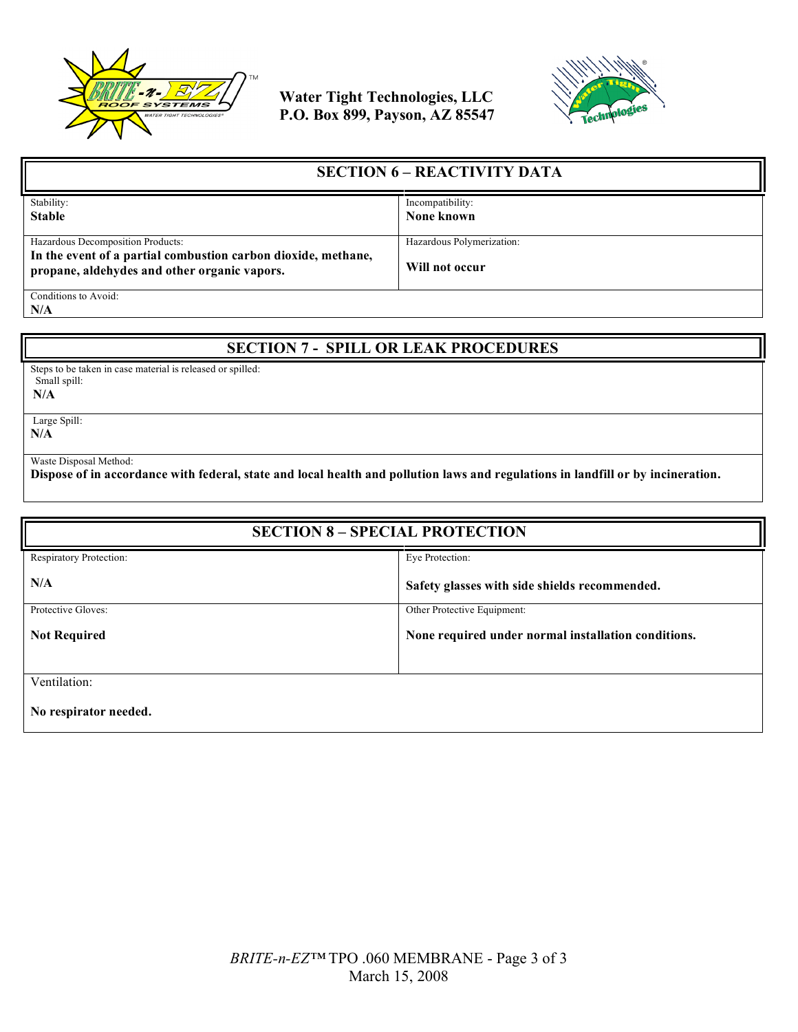



| <b>SECTION 6 – REACTIVITY DATA</b>                                                                            |                           |  |
|---------------------------------------------------------------------------------------------------------------|---------------------------|--|
| Stability:                                                                                                    | Incompatibility:          |  |
| <b>Stable</b>                                                                                                 | None known                |  |
|                                                                                                               |                           |  |
| Hazardous Decomposition Products:                                                                             | Hazardous Polymerization: |  |
| In the event of a partial combustion carbon dioxide, methane,<br>propane, aldehydes and other organic vapors. | Will not occur            |  |
| Conditions to Avoid:                                                                                          |                           |  |

**N/A**

## **SECTION 7 - SPILL OR LEAK PROCEDURES**

Steps to be taken in case material is released or spilled: Small spill:

**N/A**

 Large Spill: **N/A**

Waste Disposal Method:

**Dispose of in accordance with federal, state and local health and pollution laws and regulations in landfill or by incineration.**

| <b>SECTION 8 - SPECIAL PROTECTION</b> |                                                     |  |
|---------------------------------------|-----------------------------------------------------|--|
| Respiratory Protection:               | Eye Protection:                                     |  |
| N/A                                   | Safety glasses with side shields recommended.       |  |
| Protective Gloves:                    | Other Protective Equipment:                         |  |
| <b>Not Required</b>                   | None required under normal installation conditions. |  |
|                                       |                                                     |  |
| Ventilation:                          |                                                     |  |
| No respirator needed.                 |                                                     |  |